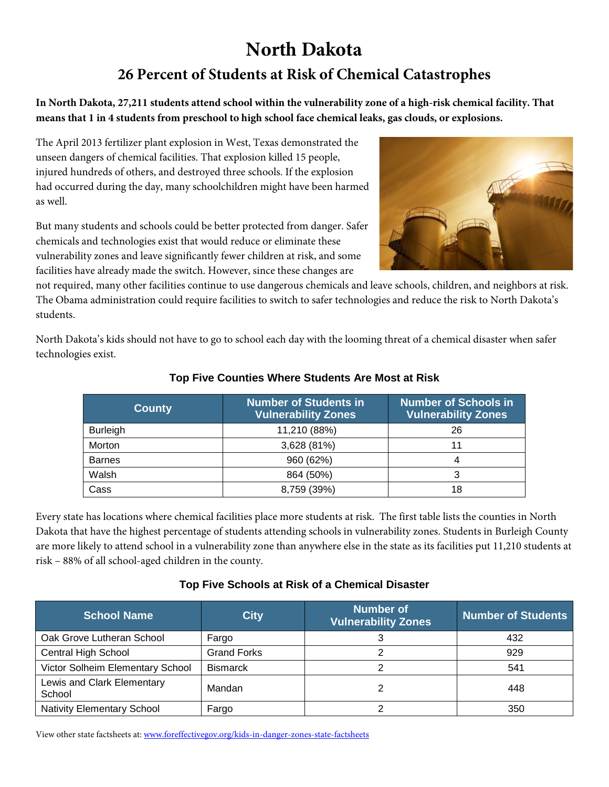# **North Dakota 26 Percent of Students at Risk of Chemical Catastrophes**

**In North Dakota, 27,211 students attend school within the vulnerability zone of a high-risk chemical facility. That means that 1 in 4 students from preschool to high school face chemical leaks, gas clouds, or explosions.**

The April 2013 fertilizer plant explosion in West, Texas demonstrated the unseen dangers of chemical facilities. That explosion killed 15 people, injured hundreds of others, and destroyed three schools. If the explosion had occurred during the day, many schoolchildren might have been harmed as well.

But many students and schools could be better protected from danger. Safer chemicals and technologies exist that would reduce or eliminate these vulnerability zones and leave significantly fewer children at risk, and some facilities have already made the switch. However, since these changes are



North Dakota's kids should not have to go to school each day with the looming threat of a chemical disaster when safer technologies exist.

| <b>County</b>   | <b>Number of Students in</b><br><b>Vulnerability Zones</b> | <b>Number of Schools in</b><br><b>Vulnerability Zones</b> |  |
|-----------------|------------------------------------------------------------|-----------------------------------------------------------|--|
| <b>Burleigh</b> | 11,210 (88%)                                               | 26                                                        |  |
| Morton          | 3,628 (81%)                                                |                                                           |  |
| <b>Barnes</b>   | 960 (62%)                                                  |                                                           |  |
| Walsh           | 864 (50%)                                                  |                                                           |  |
| Cass            | 8,759 (39%)                                                | 18                                                        |  |

### **Top Five Counties Where Students Are Most at Risk**

Every state has locations where chemical facilities place more students at risk. The first table lists the counties in North Dakota that have the highest percentage of students attending schools in vulnerability zones. Students in Burleigh County are more likely to attend school in a vulnerability zone than anywhere else in the state as its facilities put 11,210 students at risk – 88% of all school-aged children in the county.

#### **Top Five Schools at Risk of a Chemical Disaster**

| <b>School Name</b>                   | <b>City</b>        | <b>Number of</b><br><b>Vulnerability Zones</b> | <b>Number of Students</b> |
|--------------------------------------|--------------------|------------------------------------------------|---------------------------|
| Oak Grove Lutheran School            | Fargo              |                                                | 432                       |
| <b>Central High School</b>           | <b>Grand Forks</b> |                                                | 929                       |
| Victor Solheim Elementary School     | <b>Bismarck</b>    |                                                | 541                       |
| Lewis and Clark Elementary<br>School | Mandan             |                                                | 448                       |
| <b>Nativity Elementary School</b>    | Fargo              |                                                | 350                       |

View other state factsheets at: [www.foreffectivegov.org/kids-in-danger-zones-state-factsheets](http://www.foreffectivegov.org/kids-in-danger-zones-state-factsheets)